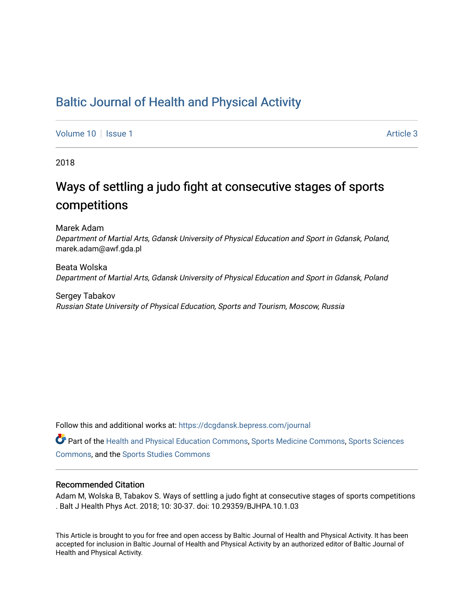## [Baltic Journal of Health and Physical Activity](https://dcgdansk.bepress.com/journal)

[Volume 10](https://dcgdansk.bepress.com/journal/vol10) | [Issue 1](https://dcgdansk.bepress.com/journal/vol10/iss1) Article 3

2018

## Ways of settling a judo fight at consecutive stages of sports competitions

Marek Adam Department of Martial Arts, Gdansk University of Physical Education and Sport in Gdansk, Poland, marek.adam@awf.gda.pl

Beata Wolska Department of Martial Arts, Gdansk University of Physical Education and Sport in Gdansk, Poland

Sergey Tabakov Russian State University of Physical Education, Sports and Tourism, Moscow, Russia

Follow this and additional works at: [https://dcgdansk.bepress.com/journal](https://dcgdansk.bepress.com/journal?utm_source=dcgdansk.bepress.com%2Fjournal%2Fvol10%2Fiss1%2F3&utm_medium=PDF&utm_campaign=PDFCoverPages)

Part of the [Health and Physical Education Commons](http://network.bepress.com/hgg/discipline/1327?utm_source=dcgdansk.bepress.com%2Fjournal%2Fvol10%2Fiss1%2F3&utm_medium=PDF&utm_campaign=PDFCoverPages), [Sports Medicine Commons,](http://network.bepress.com/hgg/discipline/1331?utm_source=dcgdansk.bepress.com%2Fjournal%2Fvol10%2Fiss1%2F3&utm_medium=PDF&utm_campaign=PDFCoverPages) [Sports Sciences](http://network.bepress.com/hgg/discipline/759?utm_source=dcgdansk.bepress.com%2Fjournal%2Fvol10%2Fiss1%2F3&utm_medium=PDF&utm_campaign=PDFCoverPages) [Commons](http://network.bepress.com/hgg/discipline/759?utm_source=dcgdansk.bepress.com%2Fjournal%2Fvol10%2Fiss1%2F3&utm_medium=PDF&utm_campaign=PDFCoverPages), and the [Sports Studies Commons](http://network.bepress.com/hgg/discipline/1198?utm_source=dcgdansk.bepress.com%2Fjournal%2Fvol10%2Fiss1%2F3&utm_medium=PDF&utm_campaign=PDFCoverPages) 

#### Recommended Citation

Adam M, Wolska B, Tabakov S. Ways of settling a judo fight at consecutive stages of sports competitions . Balt J Health Phys Act. 2018; 10: 30-37. doi: 10.29359/BJHPA.10.1.03

This Article is brought to you for free and open access by Baltic Journal of Health and Physical Activity. It has been accepted for inclusion in Baltic Journal of Health and Physical Activity by an authorized editor of Baltic Journal of Health and Physical Activity.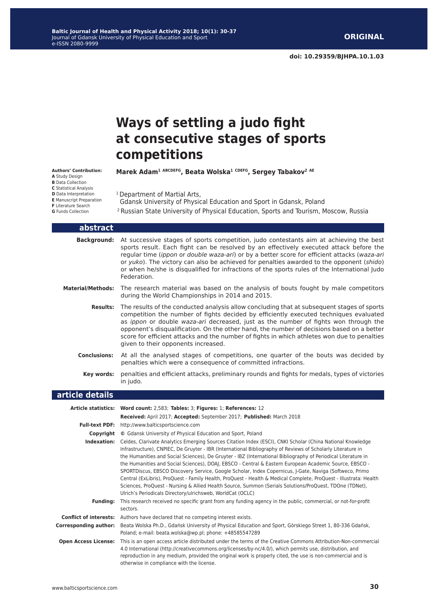# **Ways of settling a judo fight at consecutive stages of sports competitions**

**Marek Adam1 ABCDEFG, Beata Wolska1 CDEFG, Sergey Tabakov2 AE**

- **Authors' Contribution: A** Study Design **B** Data Collection **C** Statistical Analysis **D** Data Interpretation **E** Manuscript Preparation **F** Literature Search **G** Funds Collection
- <sup>1</sup> Department of Martial Arts, Gdansk University of Physical Education and Sport in Gdansk, Poland 2 Russian State University of Physical Education, Sports and Tourism, Moscow, Russia

| abstract                     |                                                                                                                                                                                                                                                                                                                                                                                                                                                                                                                                                                                                                                                                                                                                                                                                                                                                           |
|------------------------------|---------------------------------------------------------------------------------------------------------------------------------------------------------------------------------------------------------------------------------------------------------------------------------------------------------------------------------------------------------------------------------------------------------------------------------------------------------------------------------------------------------------------------------------------------------------------------------------------------------------------------------------------------------------------------------------------------------------------------------------------------------------------------------------------------------------------------------------------------------------------------|
| <b>Background:</b>           | At successive stages of sports competition, judo contestants aim at achieving the best<br>sports result. Each fight can be resolved by an effectively executed attack before the<br>regular time (ippon or double waza-ari) or by a better score for efficient attacks (waza-ari<br>or yuko). The victory can also be achieved for penalties awarded to the opponent (shido)<br>or when he/she is disqualified for infractions of the sports rules of the International Judo<br>Federation.                                                                                                                                                                                                                                                                                                                                                                               |
| <b>Material/Methods:</b>     | The research material was based on the analysis of bouts fought by male competitors<br>during the World Championships in 2014 and 2015.                                                                                                                                                                                                                                                                                                                                                                                                                                                                                                                                                                                                                                                                                                                                   |
| <b>Results:</b>              | The results of the conducted analysis allow concluding that at subsequent stages of sports<br>competition the number of fights decided by efficiently executed techniques evaluated<br>as ippon or double waza-ari decreased, just as the number of fights won through the<br>opponent's disqualification. On the other hand, the number of decisions based on a better<br>score for efficient attacks and the number of fights in which athletes won due to penalties<br>given to their opponents increased.                                                                                                                                                                                                                                                                                                                                                             |
| <b>Conclusions:</b>          | At all the analysed stages of competitions, one quarter of the bouts was decided by<br>penalties which were a consequence of committed infractions.                                                                                                                                                                                                                                                                                                                                                                                                                                                                                                                                                                                                                                                                                                                       |
| Key words:                   | penalties and efficient attacks, preliminary rounds and fights for medals, types of victories<br>in judo.                                                                                                                                                                                                                                                                                                                                                                                                                                                                                                                                                                                                                                                                                                                                                                 |
| article details              |                                                                                                                                                                                                                                                                                                                                                                                                                                                                                                                                                                                                                                                                                                                                                                                                                                                                           |
|                              | Article statistics: Word count: 2,583; Tables: 3; Figures: 1; References: 12                                                                                                                                                                                                                                                                                                                                                                                                                                                                                                                                                                                                                                                                                                                                                                                              |
|                              | Received: April 2017; Accepted: September 2017; Published: March 2018                                                                                                                                                                                                                                                                                                                                                                                                                                                                                                                                                                                                                                                                                                                                                                                                     |
|                              | Full-text PDF: http://www.balticsportscience.com                                                                                                                                                                                                                                                                                                                                                                                                                                                                                                                                                                                                                                                                                                                                                                                                                          |
|                              | <b>Copyright</b> © Gdansk University of Physical Education and Sport, Poland                                                                                                                                                                                                                                                                                                                                                                                                                                                                                                                                                                                                                                                                                                                                                                                              |
|                              | Indexation: Celdes, Clarivate Analytics Emerging Sources Citation Index (ESCI), CNKI Scholar (China National Knowledge<br>Infrastructure), CNPIEC, De Gruyter - IBR (International Bibliography of Reviews of Scholarly Literature in<br>the Humanities and Social Sciences), De Gruyter - IBZ (International Bibliography of Periodical Literature in<br>the Humanities and Social Sciences), DOAJ, EBSCO - Central & Eastern European Academic Source, EBSCO -<br>SPORTDiscus, EBSCO Discovery Service, Google Scholar, Index Copernicus, J-Gate, Naviga (Softweco, Primo<br>Central (ExLibris), ProQuest - Family Health, ProQuest - Health & Medical Complete, ProQuest - Illustrata: Health<br>Sciences, ProQuest - Nursing & Allied Health Source, Summon (Serials Solutions/ProQuest, TDOne (TDNet),<br>Ulrich's Periodicals Directory/ulrichsweb, WorldCat (OCLC) |
|                              | Funding: This research received no specific grant from any funding agency in the public, commercial, or not-for-profit                                                                                                                                                                                                                                                                                                                                                                                                                                                                                                                                                                                                                                                                                                                                                    |
|                              | sectors.                                                                                                                                                                                                                                                                                                                                                                                                                                                                                                                                                                                                                                                                                                                                                                                                                                                                  |
|                              | <b>Conflict of interests:</b> Authors have declared that no competing interest exists.                                                                                                                                                                                                                                                                                                                                                                                                                                                                                                                                                                                                                                                                                                                                                                                    |
| <b>Corresponding author:</b> | Beata Wolska Ph.D., Gdańsk University of Physical Education and Sport, Górskiego Street 1, 80-336 Gdańsk,<br>Poland; e-mail: beata.wolska@wp.pl; phone: +48585547289                                                                                                                                                                                                                                                                                                                                                                                                                                                                                                                                                                                                                                                                                                      |
|                              | Open Access License: This is an open access article distributed under the terms of the Creative Commons Attribution-Non-commercial<br>4.0 International (http://creativecommons.org/licenses/by-nc/4.0/), which permits use, distribution, and<br>reproduction in any medium, provided the original work is properly cited, the use is non-commercial and is<br>otherwise in compliance with the license.                                                                                                                                                                                                                                                                                                                                                                                                                                                                 |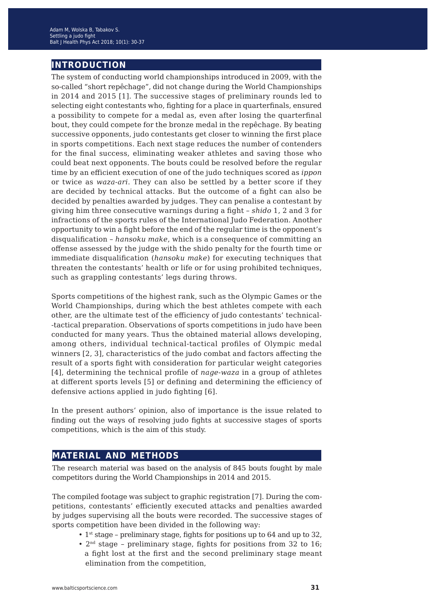### **introduction**

The system of conducting world championships introduced in 2009, with the so-called "short repêchage", did not change during the World Championships in 2014 and 2015 [1]. The successive stages of preliminary rounds led to selecting eight contestants who, fighting for a place in quarterfinals, ensured a possibility to compete for a medal as, even after losing the quarterfinal bout, they could compete for the bronze medal in the repêchage. By beating successive opponents, judo contestants get closer to winning the first place in sports competitions. Each next stage reduces the number of contenders for the final success, eliminating weaker athletes and saving those who could beat next opponents. The bouts could be resolved before the regular time by an efficient execution of one of the judo techniques scored as *ippon* or twice as *waza-ari*. They can also be settled by a better score if they are decided by technical attacks. But the outcome of a fight can also be decided by penalties awarded by judges. They can penalise a contestant by giving him three consecutive warnings during a fight – *shido* 1, 2 and 3 for infractions of the sports rules of the International Judo Federation. Another opportunity to win a fight before the end of the regular time is the opponent's disqualification – *hansoku make*, which is a consequence of committing an offense assessed by the judge with the shido penalty for the fourth time or immediate disqualification (*hansoku make*) for executing techniques that threaten the contestants' health or life or for using prohibited techniques, such as grappling contestants' legs during throws.

Sports competitions of the highest rank, such as the Olympic Games or the World Championships, during which the best athletes compete with each other, are the ultimate test of the efficiency of judo contestants' technical- -tactical preparation. Observations of sports competitions in judo have been conducted for many years. Thus the obtained material allows developing, among others, individual technical-tactical profiles of Olympic medal winners [2, 3], characteristics of the judo combat and factors affecting the result of a sports fight with consideration for particular weight categories [4], determining the technical profile of *nage-waza* in a group of athletes at different sports levels [5] or defining and determining the efficiency of defensive actions applied in judo fighting [6].

In the present authors' opinion, also of importance is the issue related to finding out the ways of resolving judo fights at successive stages of sports competitions, which is the aim of this study.

### **material and methods**

The research material was based on the analysis of 845 bouts fought by male competitors during the World Championships in 2014 and 2015.

The compiled footage was subject to graphic registration [7]. During the competitions, contestants' efficiently executed attacks and penalties awarded by judges supervising all the bouts were recorded. The successive stages of sports competition have been divided in the following way:

- 1<sup>st</sup> stage preliminary stage, fights for positions up to 64 and up to 32,
- $2<sup>nd</sup> stage preliminary stage, fights for positions from 32 to 16;$  a fight lost at the first and the second preliminary stage meant elimination from the competition,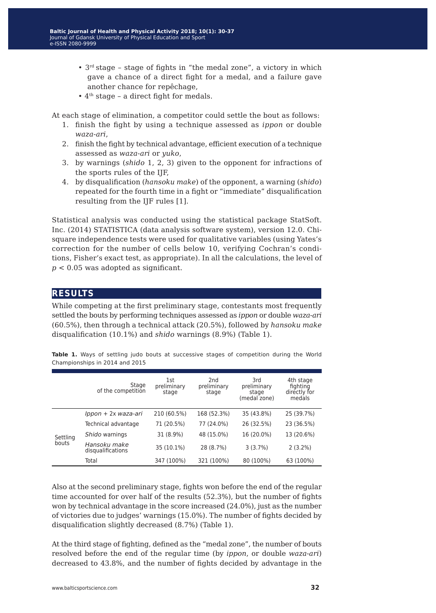- 3rd stage stage of fights in "the medal zone", a victory in which gave a chance of a direct fight for a medal, and a failure gave another chance for repêchage,
- $\bullet$  4<sup>th</sup> stage a direct fight for medals.

At each stage of elimination, a competitor could settle the bout as follows:

- 1. finish the fight by using a technique assessed as *ippon* or double *waza-ari*,
- 2. finish the fight by technical advantage, efficient execution of a technique assessed as *waza-ari* or *yuko*,
- 3. by warnings (*shido* 1, 2, 3) given to the opponent for infractions of the sports rules of the IJF,
- 4. by disqualification (*hansoku make*) of the opponent, a warning (*shido*) repeated for the fourth time in a fight or "immediate" disqualification resulting from the IJF rules [1].

Statistical analysis was conducted using the statistical package StatSoft. Inc. (2014) STATISTICA (data analysis software system), version 12.0. Chisquare independence tests were used for qualitative variables (using Yates's correction for the number of cells below 10, verifying Cochran's conditions, Fisher's exact test, as appropriate). In all the calculations, the level of *p* < 0.05 was adopted as significant.

#### **results**

While competing at the first preliminary stage, contestants most frequently settled the bouts by performing techniques assessed as *ippon* or double *waza-ari*  (60.5%), then through a technical attack (20.5%), followed by *hansoku make* disqualification (10.1%) and *shido* warnings (8.9%) (Table 1).

|                   | Stage<br>of the competition       | 1st<br>preliminary<br>stage | 2 <sub>nd</sub><br>preliminary<br>stage | 3rd<br>preliminary<br>stage<br>(medal zone) | 4th stage<br>fighting<br>directly for<br>medals |
|-------------------|-----------------------------------|-----------------------------|-----------------------------------------|---------------------------------------------|-------------------------------------------------|
| Settling<br>bouts | Ippon + 2x waza-ari               | 210 (60.5%)                 | 168 (52.3%)                             | 35 (43.8%)                                  | 25 (39.7%)                                      |
|                   | Technical advantage               | 71 (20.5%)                  | 77 (24.0%)                              | 26 (32.5%)                                  | 23 (36.5%)                                      |
|                   | Shido warnings                    | 31 (8.9%)                   | 48 (15.0%)                              | 16 (20.0%)                                  | 13 (20.6%)                                      |
|                   | Hansoku make<br>disqualifications | 35 (10.1%)                  | 28 (8.7%)                               | 3(3.7%)                                     | $2(3.2\%)$                                      |
|                   | Total                             | 347 (100%)                  | 321 (100%)                              | 80 (100%)                                   | 63 (100%)                                       |

**Table 1.** Ways of settling judo bouts at successive stages of competition during the World Championships in 2014 and 2015

Also at the second preliminary stage, fights won before the end of the regular time accounted for over half of the results (52.3%), but the number of fights won by technical advantage in the score increased (24.0%), just as the number of victories due to judges' warnings (15.0%). The number of fights decided by disqualification slightly decreased (8.7%) (Table 1).

At the third stage of fighting, defined as the "medal zone", the number of bouts resolved before the end of the regular time (by *ippon*, or double *waza-ari*) decreased to 43.8%, and the number of fights decided by advantage in the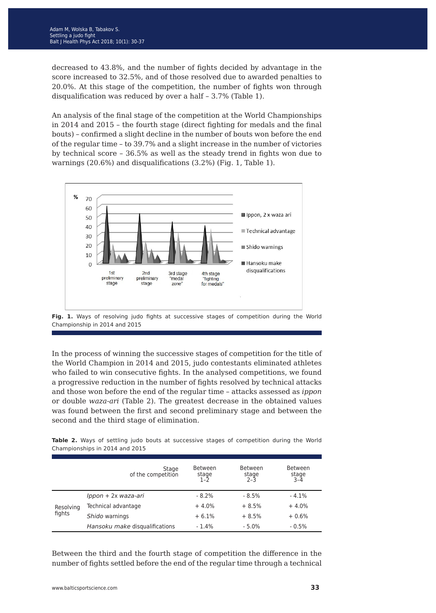decreased to 43.8%, and the number of fights decided by advantage in the score increased to 32.5%, and of those resolved due to awarded penalties to 20.0%. At this stage of the competition, the number of fights won through disqualification was reduced by over a half – 3.7% (Table 1).

An analysis of the final stage of the competition at the World Championships in 2014 and 2015 – the fourth stage (direct fighting for medals and the final bouts) – confirmed a slight decline in the number of bouts won before the end of the regular time – to 39.7% and a slight increase in the number of victories by technical score – 36.5% as well as the steady trend in fights won due to warnings (20.6%) and disqualifications (3.2%) (Fig. 1, Table 1).





In the process of winning the successive stages of competition for the title of the World Champion in 2014 and 2015, judo contestants eliminated athletes who failed to win consecutive fights. In the analysed competitions, we found a progressive reduction in the number of fights resolved by technical attacks and those won before the end of the regular time – attacks assessed as *ippon* or double *waza-ari* (Table 2). The greatest decrease in the obtained values was found between the first and second preliminary stage and between the second and the third stage of elimination.

**Table 2.** Ways of settling judo bouts at successive stages of competition during the World Championships in 2014 and 2015

|                     | Stage<br>of the competition    | <b>Between</b><br>stage<br>1-2 | <b>Between</b><br>stage<br>$2-3$ | <b>Between</b><br>stage<br>3-4 |
|---------------------|--------------------------------|--------------------------------|----------------------------------|--------------------------------|
| Resolving<br>fights | Ippon + 2x waza-ari            | $-8.2%$                        | $-8.5%$                          | $-4.1%$                        |
|                     | Technical advantage            | $+4.0%$                        | $+8.5%$                          | $+4.0%$                        |
|                     | Shido warnings                 | $+6.1%$                        | $+8.5%$                          | $+0.6%$                        |
|                     | Hansoku make disqualifications | $-1.4%$                        | $-5.0%$                          | $-0.5%$                        |

Between the third and the fourth stage of competition the difference in the number of fights settled before the end of the regular time through a technical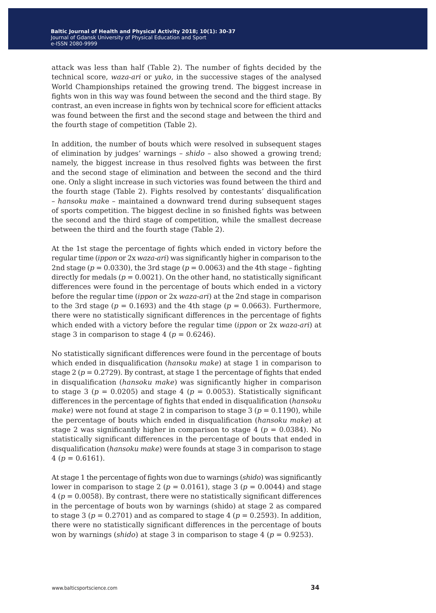attack was less than half (Table 2). The number of fights decided by the technical score, *waza-ari* or *yuko*, in the successive stages of the analysed World Championships retained the growing trend. The biggest increase in fights won in this way was found between the second and the third stage. By contrast, an even increase in fights won by technical score for efficient attacks was found between the first and the second stage and between the third and the fourth stage of competition (Table 2).

In addition, the number of bouts which were resolved in subsequent stages of elimination by judges' warnings – *shido* – also showed a growing trend; namely, the biggest increase in thus resolved fights was between the first and the second stage of elimination and between the second and the third one. Only a slight increase in such victories was found between the third and the fourth stage (Table 2). Fights resolved by contestants' disqualification – *hansoku mak*e – maintained a downward trend during subsequent stages of sports competition. The biggest decline in so finished fights was between the second and the third stage of competition, while the smallest decrease between the third and the fourth stage (Table 2).

At the 1st stage the percentage of fights which ended in victory before the regular time (*ippon* or 2x *waza-ari*) was significantly higher in comparison to the 2nd stage ( $p = 0.0330$ ), the 3rd stage ( $p = 0.0063$ ) and the 4th stage - fighting directly for medals  $(p = 0.0021)$ . On the other hand, no statistically significant differences were found in the percentage of bouts which ended in a victory before the regular time (*ippon* or 2x *waza-ari*) at the 2nd stage in comparison to the 3rd stage ( $p = 0.1693$ ) and the 4th stage ( $p = 0.0663$ ). Furthermore, there were no statistically significant differences in the percentage of fights which ended with a victory before the regular time (*ippon* or 2x *waza-ari*) at stage 3 in comparison to stage 4 ( $p = 0.6246$ ).

No statistically significant differences were found in the percentage of bouts which ended in disqualification (*hansoku make*) at stage 1 in comparison to stage  $2 (p = 0.2729)$ . By contrast, at stage 1 the percentage of fights that ended in disqualification (*hansoku make*) was significantly higher in comparison to stage 3 ( $p = 0.0205$ ) and stage 4 ( $p = 0.0053$ ). Statistically significant differences in the percentage of fights that ended in disqualification (*hansoku make*) were not found at stage 2 in comparison to stage 3 ( $p = 0.1190$ ), while the percentage of bouts which ended in disqualification (*hansoku make*) at stage 2 was significantly higher in comparison to stage  $4$  ( $p = 0.0384$ ). No statistically significant differences in the percentage of bouts that ended in disqualification (*hansoku make*) were founds at stage 3 in comparison to stage  $4 (p = 0.6161).$ 

At stage 1 the percentage of fights won due to warnings (*shido*) was significantly lower in comparison to stage 2 ( $p = 0.0161$ ), stage 3 ( $p = 0.0044$ ) and stage 4 (*p* = 0.0058). By contrast, there were no statistically significant differences in the percentage of bouts won by warnings (shido) at stage 2 as compared to stage 3 ( $p = 0.2701$ ) and as compared to stage 4 ( $p = 0.2593$ ). In addition, there were no statistically significant differences in the percentage of bouts won by warnings (*shido*) at stage 3 in comparison to stage 4 (*p* = 0.9253).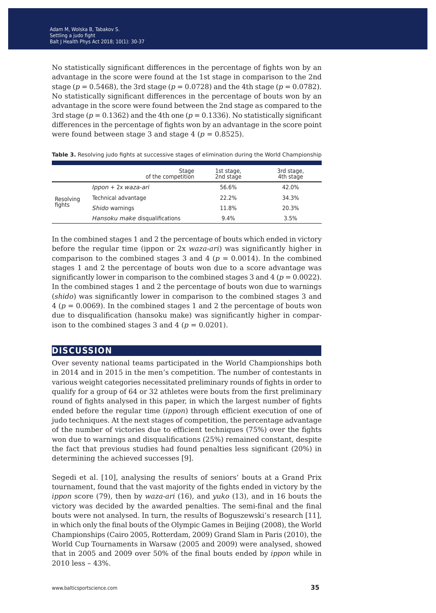No statistically significant differences in the percentage of fights won by an advantage in the score were found at the 1st stage in comparison to the 2nd stage ( $p = 0.5468$ ), the 3rd stage ( $p = 0.0728$ ) and the 4th stage ( $p = 0.0782$ ). No statistically significant differences in the percentage of bouts won by an advantage in the score were found between the 2nd stage as compared to the 3rd stage ( $p = 0.1362$ ) and the 4th one ( $p = 0.1336$ ). No statistically significant differences in the percentage of fights won by an advantage in the score point were found between stage 3 and stage 4 ( $p = 0.8525$ ).

|                     | Stage<br>of the competition    | 1st stage,<br>2nd stage | 3rd stage,<br>4th stage |
|---------------------|--------------------------------|-------------------------|-------------------------|
| Resolving<br>fights | Ippon + 2x waza-ari            | 56.6%                   | 42.0%                   |
|                     | Technical advantage            | 22.2%                   | 34.3%                   |
|                     | Shido warnings                 | 11.8%                   | 20.3%                   |
|                     | Hansoku make disqualifications | 9.4%                    | 3.5%                    |

**Table 3.** Resolving judo fights at successive stages of elimination during the World Championship

In the combined stages 1 and 2 the percentage of bouts which ended in victory before the regular time (ippon or 2x *waza-ari*) was significantly higher in comparison to the combined stages 3 and 4 ( $p = 0.0014$ ). In the combined stages 1 and 2 the percentage of bouts won due to a score advantage was significantly lower in comparison to the combined stages 3 and 4 ( $p = 0.0022$ ). In the combined stages 1 and 2 the percentage of bouts won due to warnings (*shido*) was significantly lower in comparison to the combined stages 3 and 4 (*p* = 0.0069). In the combined stages 1 and 2 the percentage of bouts won due to disqualification (hansoku make) was significantly higher in comparison to the combined stages 3 and 4 ( $p = 0.0201$ ).

#### **discussion**

Over seventy national teams participated in the World Championships both in 2014 and in 2015 in the men's competition. The number of contestants in various weight categories necessitated preliminary rounds of fights in order to qualify for a group of 64 or 32 athletes were bouts from the first preliminary round of fights analysed in this paper, in which the largest number of fights ended before the regular time (*ippon*) through efficient execution of one of judo techniques. At the next stages of competition, the percentage advantage of the number of victories due to efficient techniques (75%) over the fights won due to warnings and disqualifications (25%) remained constant, despite the fact that previous studies had found penalties less significant (20%) in determining the achieved successes [9].

Segedi et al. [10], analysing the results of seniors' bouts at a Grand Prix tournament, found that the vast majority of the fights ended in victory by the *ippon* score (79), then by *waza-ari* (16), and *yuko* (13), and in 16 bouts the victory was decided by the awarded penalties. The semi-final and the final bouts were not analysed. In turn, the results of Boguszewski's research [11], in which only the final bouts of the Olympic Games in Beijing (2008), the World Championships (Cairo 2005, Rotterdam, 2009) Grand Slam in Paris (2010), the World Cup Tournaments in Warsaw (2005 and 2009) were analysed, showed that in 2005 and 2009 over 50% of the final bouts ended by *ippon* while in 2010 less – 43%.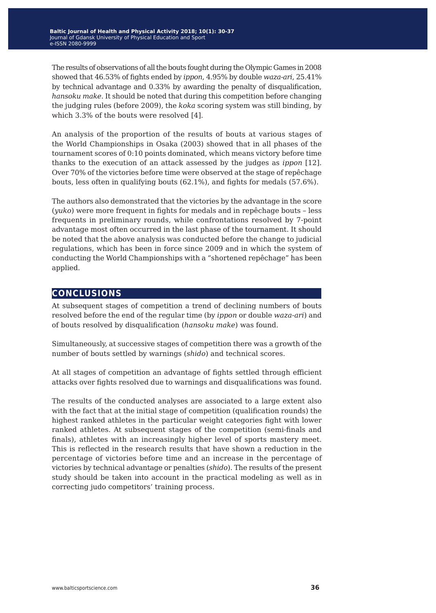The results of observations of all the bouts fought during the Olympic Games in 2008 showed that 46.53% of fights ended by *ippon*, 4.95% by double *waza-ari*, 25.41% by technical advantage and 0.33% by awarding the penalty of disqualification, *hansoku make*. It should be noted that during this competition before changing the judging rules (before 2009), the *koka* scoring system was still binding, by which 3.3% of the bouts were resolved [4].

An analysis of the proportion of the results of bouts at various stages of the World Championships in Osaka (2003) showed that in all phases of the tournament scores of 0:10 points dominated, which means victory before time thanks to the execution of an attack assessed by the judges as *ippon* [12]. Over 70% of the victories before time were observed at the stage of repêchage bouts, less often in qualifying bouts (62.1%), and fights for medals (57.6%).

The authors also demonstrated that the victories by the advantage in the score (*yuko*) were more frequent in fights for medals and in repêchage bouts – less frequents in preliminary rounds, while confrontations resolved by 7-point advantage most often occurred in the last phase of the tournament. It should be noted that the above analysis was conducted before the change to judicial regulations, which has been in force since 2009 and in which the system of conducting the World Championships with a "shortened repêchage" has been applied.

#### **conclusions**

At subsequent stages of competition a trend of declining numbers of bouts resolved before the end of the regular time (by *ippon* or double *waza-ari*) and of bouts resolved by disqualification (*hansoku make*) was found.

Simultaneously, at successive stages of competition there was a growth of the number of bouts settled by warnings (*shido*) and technical scores.

At all stages of competition an advantage of fights settled through efficient attacks over fights resolved due to warnings and disqualifications was found.

The results of the conducted analyses are associated to a large extent also with the fact that at the initial stage of competition (qualification rounds) the highest ranked athletes in the particular weight categories fight with lower ranked athletes. At subsequent stages of the competition (semi-finals and finals), athletes with an increasingly higher level of sports mastery meet. This is reflected in the research results that have shown a reduction in the percentage of victories before time and an increase in the percentage of victories by technical advantage or penalties (*shido*). The results of the present study should be taken into account in the practical modeling as well as in correcting judo competitors' training process.